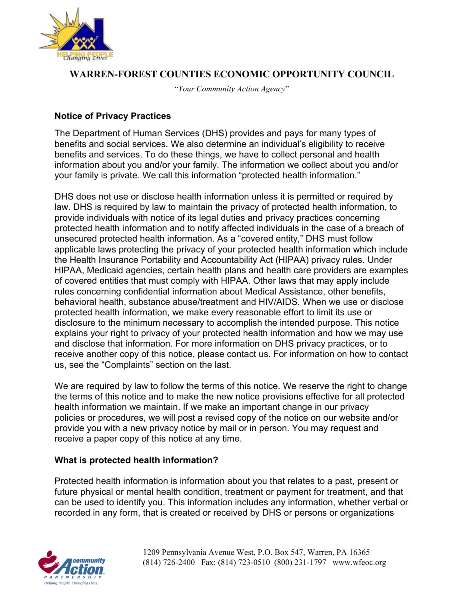

"*Your Community Action Agency*"

#### **Notice of Privacy Practices**

The Department of Human Services (DHS) provides and pays for many types of benefits and social services. We also determine an individual's eligibility to receive benefits and services. To do these things, we have to collect personal and health information about you and/or your family. The information we collect about you and/or your family is private. We call this information "protected health information."

DHS does not use or disclose health information unless it is permitted or required by law. DHS is required by law to maintain the privacy of protected health information, to provide individuals with notice of its legal duties and privacy practices concerning protected health information and to notify affected individuals in the case of a breach of unsecured protected health information. As a "covered entity," DHS must follow applicable laws protecting the privacy of your protected health information which include the Health Insurance Portability and Accountability Act (HIPAA) privacy rules. Under HIPAA, Medicaid agencies, certain health plans and health care providers are examples of covered entities that must comply with HIPAA. Other laws that may apply include rules concerning confidential information about Medical Assistance, other benefits, behavioral health, substance abuse/treatment and HIV/AIDS. When we use or disclose protected health information, we make every reasonable effort to limit its use or disclosure to the minimum necessary to accomplish the intended purpose. This notice explains your right to privacy of your protected health information and how we may use and disclose that information. For more information on DHS privacy practices, or to receive another copy of this notice, please contact us. For information on how to contact us, see the "Complaints" section on the last.

We are required by law to follow the terms of this notice. We reserve the right to change the terms of this notice and to make the new notice provisions effective for all protected health information we maintain. If we make an important change in our privacy policies or procedures, we will post a revised copy of the notice on our website and/or provide you with a new privacy notice by mail or in person. You may request and receive a paper copy of this notice at any time.

#### **What is protected health information?**

Protected health information is information about you that relates to a past, present or future physical or mental health condition, treatment or payment for treatment, and that can be used to identify you. This information includes any information, whether verbal or recorded in any form, that is created or received by DHS or persons or organizations

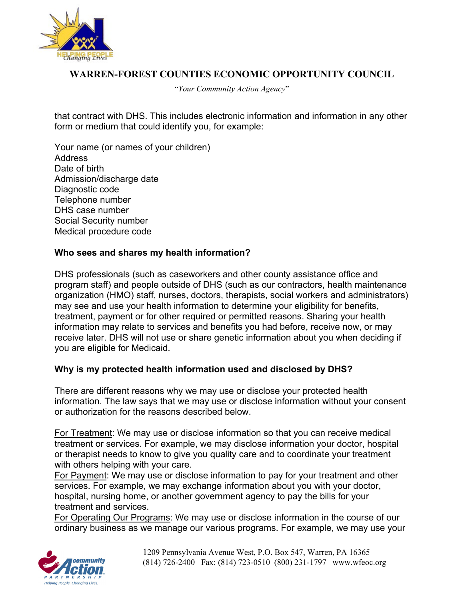

"*Your Community Action Agency*"

that contract with DHS. This includes electronic information and information in any other form or medium that could identify you, for example:

Your name (or names of your children) Address Date of birth Admission/discharge date Diagnostic code Telephone number DHS case number Social Security number Medical procedure code

### **Who sees and shares my health information?**

DHS professionals (such as caseworkers and other county assistance office and program staff) and people outside of DHS (such as our contractors, health maintenance organization (HMO) staff, nurses, doctors, therapists, social workers and administrators) may see and use your health information to determine your eligibility for benefits, treatment, payment or for other required or permitted reasons. Sharing your health information may relate to services and benefits you had before, receive now, or may receive later. DHS will not use or share genetic information about you when deciding if you are eligible for Medicaid.

### **Why is my protected health information used and disclosed by DHS?**

There are different reasons why we may use or disclose your protected health information. The law says that we may use or disclose information without your consent or authorization for the reasons described below.

For Treatment: We may use or disclose information so that you can receive medical treatment or services. For example, we may disclose information your doctor, hospital or therapist needs to know to give you quality care and to coordinate your treatment with others helping with your care.

For Payment: We may use or disclose information to pay for your treatment and other services. For example, we may exchange information about you with your doctor, hospital, nursing home, or another government agency to pay the bills for your treatment and services.

For Operating Our Programs: We may use or disclose information in the course of our ordinary business as we manage our various programs. For example, we may use your

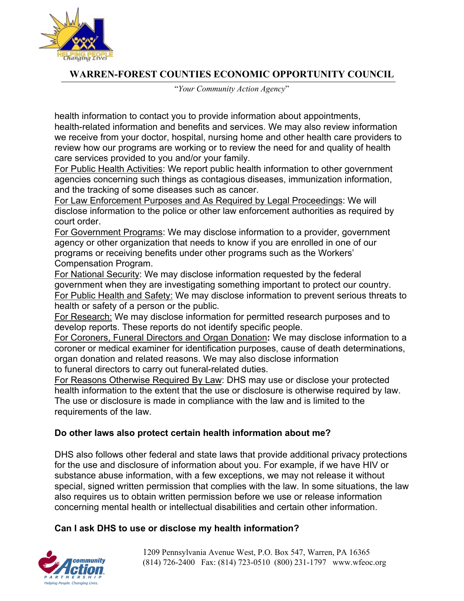

"*Your Community Action Agency*"

health information to contact you to provide information about appointments, health-related information and benefits and services. We may also review information we receive from your doctor, hospital, nursing home and other health care providers to review how our programs are working or to review the need for and quality of health care services provided to you and/or your family.

For Public Health Activities: We report public health information to other government agencies concerning such things as contagious diseases, immunization information, and the tracking of some diseases such as cancer.

For Law Enforcement Purposes and As Required by Legal Proceedings: We will disclose information to the police or other law enforcement authorities as required by court order.

For Government Programs: We may disclose information to a provider, government agency or other organization that needs to know if you are enrolled in one of our programs or receiving benefits under other programs such as the Workers' Compensation Program.

For National Security: We may disclose information requested by the federal government when they are investigating something important to protect our country. For Public Health and Safety: We may disclose information to prevent serious threats to health or safety of a person or the public.

For Research: We may disclose information for permitted research purposes and to develop reports. These reports do not identify specific people.

For Coroners, Funeral Directors and Organ Donation**:** We may disclose information to a coroner or medical examiner for identification purposes, cause of death determinations, organ donation and related reasons. We may also disclose information to funeral directors to carry out funeral-related duties.

For Reasons Otherwise Required By Law: DHS may use or disclose your protected health information to the extent that the use or disclosure is otherwise required by law. The use or disclosure is made in compliance with the law and is limited to the requirements of the law.

### **Do other laws also protect certain health information about me?**

DHS also follows other federal and state laws that provide additional privacy protections for the use and disclosure of information about you. For example, if we have HIV or substance abuse information, with a few exceptions, we may not release it without special, signed written permission that complies with the law. In some situations, the law also requires us to obtain written permission before we use or release information concerning mental health or intellectual disabilities and certain other information.

### **Can I ask DHS to use or disclose my health information?**

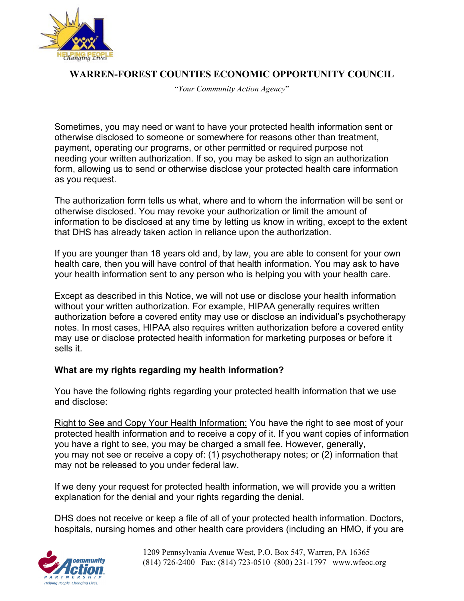

"*Your Community Action Agency*"

Sometimes, you may need or want to have your protected health information sent or otherwise disclosed to someone or somewhere for reasons other than treatment, payment, operating our programs, or other permitted or required purpose not needing your written authorization. If so, you may be asked to sign an authorization form, allowing us to send or otherwise disclose your protected health care information as you request.

The authorization form tells us what, where and to whom the information will be sent or otherwise disclosed. You may revoke your authorization or limit the amount of information to be disclosed at any time by letting us know in writing, except to the extent that DHS has already taken action in reliance upon the authorization.

If you are younger than 18 years old and, by law, you are able to consent for your own health care, then you will have control of that health information. You may ask to have your health information sent to any person who is helping you with your health care.

Except as described in this Notice, we will not use or disclose your health information without your written authorization. For example, HIPAA generally requires written authorization before a covered entity may use or disclose an individual's psychotherapy notes. In most cases, HIPAA also requires written authorization before a covered entity may use or disclose protected health information for marketing purposes or before it sells it.

### **What are my rights regarding my health information?**

You have the following rights regarding your protected health information that we use and disclose:

Right to See and Copy Your Health Information: You have the right to see most of your protected health information and to receive a copy of it. If you want copies of information you have a right to see, you may be charged a small fee. However, generally, you may not see or receive a copy of: (1) psychotherapy notes; or (2) information that may not be released to you under federal law.

If we deny your request for protected health information, we will provide you a written explanation for the denial and your rights regarding the denial.

DHS does not receive or keep a file of all of your protected health information. Doctors, hospitals, nursing homes and other health care providers (including an HMO, if you are

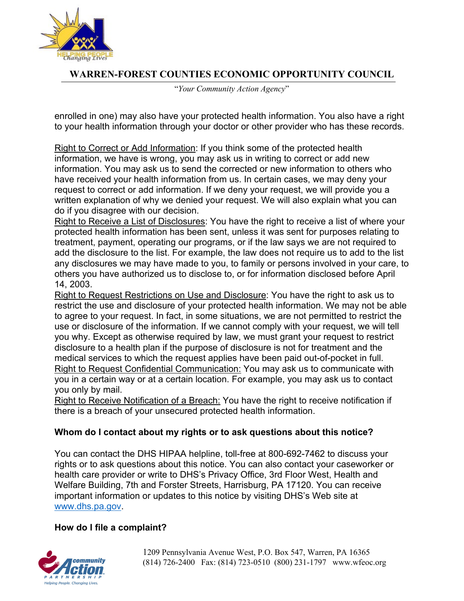

"*Your Community Action Agency*"

enrolled in one) may also have your protected health information. You also have a right to your health information through your doctor or other provider who has these records.

Right to Correct or Add Information: If you think some of the protected health information, we have is wrong, you may ask us in writing to correct or add new information. You may ask us to send the corrected or new information to others who have received your health information from us. In certain cases, we may deny your request to correct or add information. If we deny your request, we will provide you a written explanation of why we denied your request. We will also explain what you can do if you disagree with our decision.

Right to Receive a List of Disclosures: You have the right to receive a list of where your protected health information has been sent, unless it was sent for purposes relating to treatment, payment, operating our programs, or if the law says we are not required to add the disclosure to the list. For example, the law does not require us to add to the list any disclosures we may have made to you, to family or persons involved in your care, to others you have authorized us to disclose to, or for information disclosed before April 14, 2003.

Right to Request Restrictions on Use and Disclosure: You have the right to ask us to restrict the use and disclosure of your protected health information. We may not be able to agree to your request. In fact, in some situations, we are not permitted to restrict the use or disclosure of the information. If we cannot comply with your request, we will tell you why. Except as otherwise required by law, we must grant your request to restrict disclosure to a health plan if the purpose of disclosure is not for treatment and the medical services to which the request applies have been paid out-of-pocket in full. Right to Request Confidential Communication: You may ask us to communicate with you in a certain way or at a certain location. For example, you may ask us to contact you only by mail.

Right to Receive Notification of a Breach: You have the right to receive notification if there is a breach of your unsecured protected health information.

### **Whom do I contact about my rights or to ask questions about this notice?**

You can contact the DHS HIPAA helpline, toll-free at 800-692-7462 to discuss your rights or to ask questions about this notice. You can also contact your caseworker or health care provider or write to DHS's Privacy Office, 3rd Floor West, Health and Welfare Building, 7th and Forster Streets, Harrisburg, PA 17120. You can receive important information or updates to this notice by visiting DHS's Web site at www.dhs.pa.gov.

### **How do I file a complaint?**